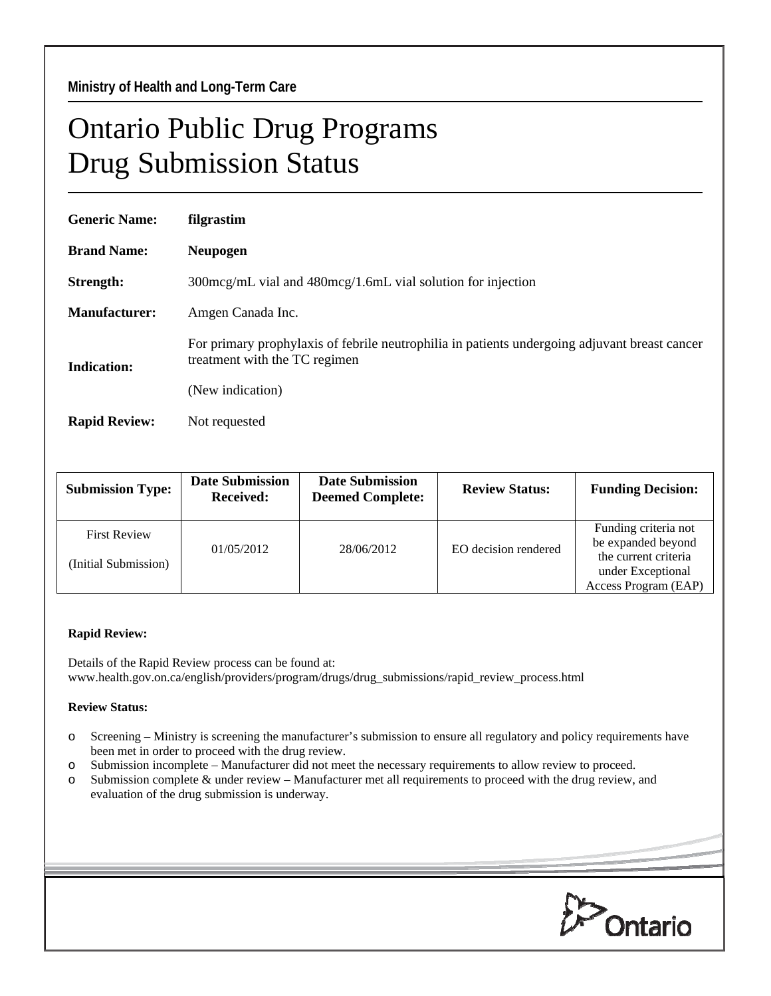**Ministry of Health and Long-Term Care** 

## Ontario Public Drug Programs Drug Submission Status

| <b>Generic Name:</b> | filgrastim                                                                                                                                         |  |  |  |
|----------------------|----------------------------------------------------------------------------------------------------------------------------------------------------|--|--|--|
| <b>Brand Name:</b>   | <b>Neupogen</b>                                                                                                                                    |  |  |  |
| Strength:            | 300 mcg/mL vial and 480 mcg/1.6 mL vial solution for injection                                                                                     |  |  |  |
| Manufacturer:        | Amgen Canada Inc.                                                                                                                                  |  |  |  |
| Indication:          | For primary prophylaxis of febrile neutrophilia in patients undergoing adjuvant breast cancer<br>treatment with the TC regimen<br>(New indication) |  |  |  |
| <b>Rapid Review:</b> | Not requested                                                                                                                                      |  |  |  |

| <b>Submission Type:</b>                     | <b>Date Submission</b><br><b>Received:</b> | <b>Date Submission</b><br><b>Deemed Complete:</b> | <b>Review Status:</b> | <b>Funding Decision:</b>                                                                                        |
|---------------------------------------------|--------------------------------------------|---------------------------------------------------|-----------------------|-----------------------------------------------------------------------------------------------------------------|
| <b>First Review</b><br>(Initial Submission) | 01/05/2012                                 | 28/06/2012                                        | EO decision rendered  | Funding criteria not<br>be expanded beyond<br>the current criteria<br>under Exceptional<br>Access Program (EAP) |

## **Rapid Review:**

Details of the Rapid Review process can be found at: www.health.gov.on.ca/english/providers/program/drugs/drug\_submissions/rapid\_review\_process.html

## **Review Status:**

- o Screening Ministry is screening the manufacturer's submission to ensure all regulatory and policy requirements have been met in order to proceed with the drug review.
- o Submission incomplete Manufacturer did not meet the necessary requirements to allow review to proceed.
- o Submission complete & under review Manufacturer met all requirements to proceed with the drug review, and evaluation of the drug submission is underway.